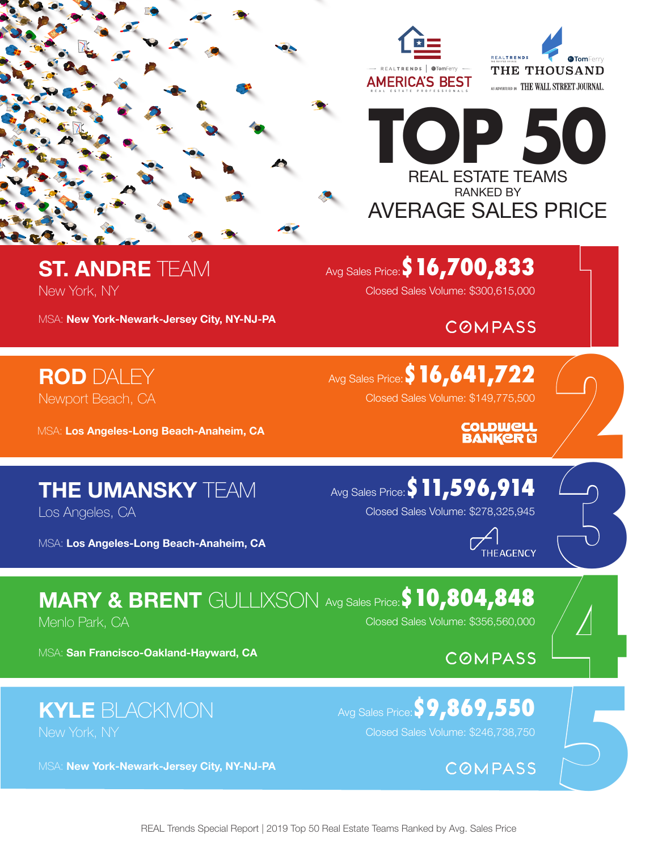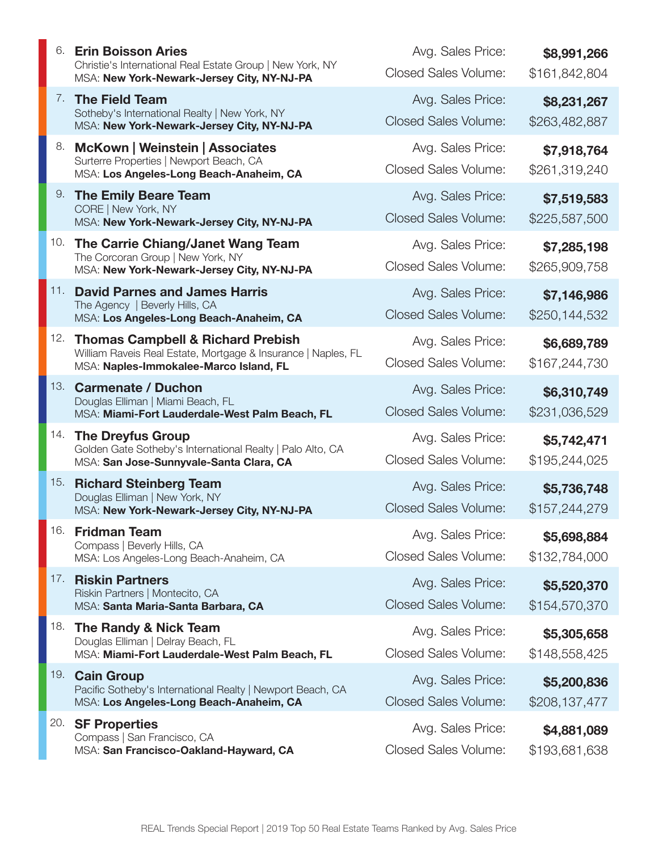| 6.  | <b>Erin Boisson Aries</b><br>Christie's International Real Estate Group   New York, NY<br>MSA: New York-Newark-Jersey City, NY-NJ-PA                    | Avg. Sales Price:<br><b>Closed Sales Volume:</b> | \$8,991,266<br>\$161,842,804 |
|-----|---------------------------------------------------------------------------------------------------------------------------------------------------------|--------------------------------------------------|------------------------------|
|     | 7. The Field Team<br>Sotheby's International Realty   New York, NY<br>MSA: New York-Newark-Jersey City, NY-NJ-PA                                        | Avg. Sales Price:<br><b>Closed Sales Volume:</b> | \$8,231,267<br>\$263,482,887 |
| 8.  | <b>McKown   Weinstein   Associates</b><br>Surterre Properties   Newport Beach, CA<br>MSA: Los Angeles-Long Beach-Anaheim, CA                            | Avg. Sales Price:<br><b>Closed Sales Volume:</b> | \$7,918,764<br>\$261,319,240 |
| 9.  | <b>The Emily Beare Team</b><br>CORE   New York, NY<br>MSA: New York-Newark-Jersey City, NY-NJ-PA                                                        | Avg. Sales Price:<br><b>Closed Sales Volume:</b> | \$7,519,583<br>\$225,587,500 |
| 10. | The Carrie Chiang/Janet Wang Team<br>The Corcoran Group   New York, NY<br>MSA: New York-Newark-Jersey City, NY-NJ-PA                                    | Avg. Sales Price:<br><b>Closed Sales Volume:</b> | \$7,285,198<br>\$265,909,758 |
| 11. | <b>David Parnes and James Harris</b><br>The Agency   Beverly Hills, CA<br>MSA: Los Angeles-Long Beach-Anaheim, CA                                       | Avg. Sales Price:<br><b>Closed Sales Volume:</b> | \$7,146,986<br>\$250,144,532 |
| 12. | <b>Thomas Campbell &amp; Richard Prebish</b><br>William Raveis Real Estate, Mortgage & Insurance   Naples, FL<br>MSA: Naples-Immokalee-Marco Island, FL | Avg. Sales Price:<br><b>Closed Sales Volume:</b> | \$6,689,789<br>\$167,244,730 |
| 13. | <b>Carmenate / Duchon</b><br>Douglas Elliman   Miami Beach, FL<br>MSA: Miami-Fort Lauderdale-West Palm Beach, FL                                        | Avg. Sales Price:<br><b>Closed Sales Volume:</b> | \$6,310,749<br>\$231,036,529 |
| 14. | <b>The Dreyfus Group</b><br>Golden Gate Sotheby's International Realty   Palo Alto, CA<br>MSA: San Jose-Sunnyvale-Santa Clara, CA                       | Avg. Sales Price:<br><b>Closed Sales Volume:</b> | \$5,742,471<br>\$195,244,025 |
| 15. | <b>Richard Steinberg Team</b><br>Douglas Elliman   New York, NY<br>MSA: New York-Newark-Jersey City, NY-NJ-PA                                           | Avg. Sales Price:<br><b>Closed Sales Volume:</b> | \$5,736,748<br>\$157,244,279 |
| 16. | <b>Fridman Team</b><br>Compass   Beverly Hills, CA<br>MSA: Los Angeles-Long Beach-Anaheim, CA                                                           | Avg. Sales Price:<br><b>Closed Sales Volume:</b> | \$5,698,884<br>\$132,784,000 |
| 17. | <b>Riskin Partners</b><br>Riskin Partners   Montecito, CA<br>MSA: Santa Maria-Santa Barbara, CA                                                         | Avg. Sales Price:<br><b>Closed Sales Volume:</b> | \$5,520,370<br>\$154,570,370 |
| 18. | The Randy & Nick Team<br>Douglas Elliman   Delray Beach, FL<br>MSA: Miami-Fort Lauderdale-West Palm Beach, FL                                           | Avg. Sales Price:<br><b>Closed Sales Volume:</b> | \$5,305,658<br>\$148,558,425 |
| 19. | <b>Cain Group</b><br>Pacific Sotheby's International Realty   Newport Beach, CA<br>MSA: Los Angeles-Long Beach-Anaheim, CA                              | Avg. Sales Price:<br><b>Closed Sales Volume:</b> | \$5,200,836<br>\$208,137,477 |
| 20. | <b>SF Properties</b><br>Compass   San Francisco, CA<br>MSA: San Francisco-Oakland-Hayward, CA                                                           | Avg. Sales Price:<br><b>Closed Sales Volume:</b> | \$4,881,089<br>\$193,681,638 |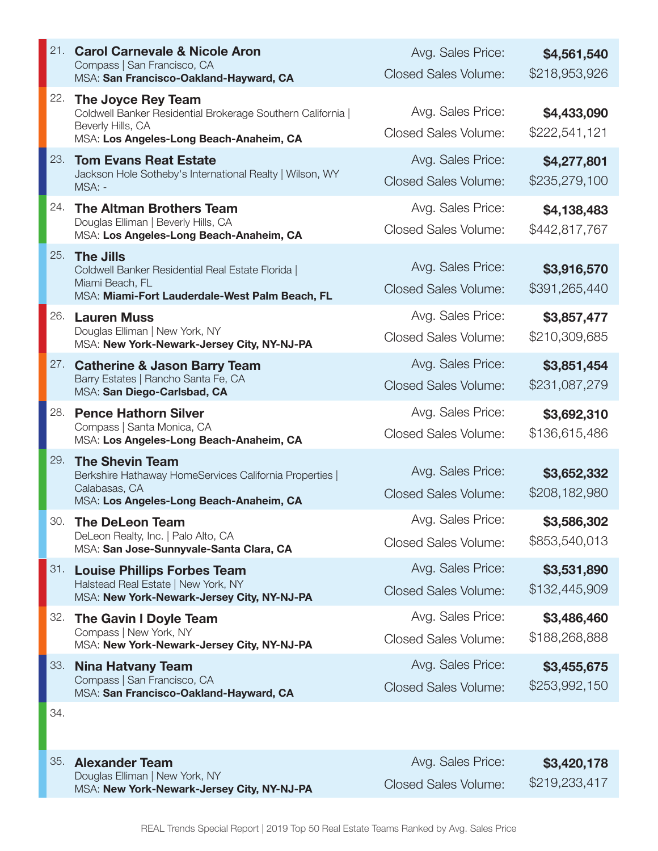| 21. | <b>Carol Carnevale &amp; Nicole Aron</b><br>Compass   San Francisco, CA<br>MSA: San Francisco-Oakland-Hayward, CA                                 | Avg. Sales Price:<br><b>Closed Sales Volume:</b> | \$4,561,540<br>\$218,953,926 |
|-----|---------------------------------------------------------------------------------------------------------------------------------------------------|--------------------------------------------------|------------------------------|
| 22. | The Joyce Rey Team<br>Coldwell Banker Residential Brokerage Southern California  <br>Beverly Hills, CA<br>MSA: Los Angeles-Long Beach-Anaheim, CA | Avg. Sales Price:<br><b>Closed Sales Volume:</b> | \$4,433,090<br>\$222,541,121 |
| 23. | <b>Tom Evans Reat Estate</b><br>Jackson Hole Sotheby's International Realty   Wilson, WY<br>MSA: -                                                | Avg. Sales Price:<br><b>Closed Sales Volume:</b> | \$4,277,801<br>\$235,279,100 |
| 24. | <b>The Altman Brothers Team</b><br>Douglas Elliman   Beverly Hills, CA<br>MSA: Los Angeles-Long Beach-Anaheim, CA                                 | Avg. Sales Price:<br><b>Closed Sales Volume:</b> | \$4,138,483<br>\$442,817,767 |
| 25. | <b>The Jills</b><br>Coldwell Banker Residential Real Estate Florida  <br>Miami Beach, FL<br>MSA: Miami-Fort Lauderdale-West Palm Beach, FL        | Avg. Sales Price:<br><b>Closed Sales Volume:</b> | \$3,916,570<br>\$391,265,440 |
| 26. | <b>Lauren Muss</b><br>Douglas Elliman   New York, NY<br>MSA: New York-Newark-Jersey City, NY-NJ-PA                                                | Avg. Sales Price:<br><b>Closed Sales Volume:</b> | \$3,857,477<br>\$210,309,685 |
| 27. | <b>Catherine &amp; Jason Barry Team</b><br>Barry Estates   Rancho Santa Fe, CA<br>MSA: San Diego-Carlsbad, CA                                     | Avg. Sales Price:<br><b>Closed Sales Volume:</b> | \$3,851,454<br>\$231,087,279 |
| 28. | <b>Pence Hathorn Silver</b><br>Compass   Santa Monica, CA<br>MSA: Los Angeles-Long Beach-Anaheim, CA                                              | Avg. Sales Price:<br><b>Closed Sales Volume:</b> | \$3,692,310<br>\$136,615,486 |
| 29. | <b>The Shevin Team</b><br>Berkshire Hathaway HomeServices California Properties  <br>Calabasas, CA<br>MSA: Los Angeles-Long Beach-Anaheim, CA     | Avg. Sales Price:<br><b>Closed Sales Volume:</b> | \$3,652,332<br>\$208,182,980 |
| 30. | <b>The DeLeon Team</b><br>DeLeon Realty, Inc.   Palo Alto, CA<br>MSA: San Jose-Sunnyvale-Santa Clara, CA                                          | Avg. Sales Price:<br><b>Closed Sales Volume:</b> | \$3,586,302<br>\$853,540,013 |
| 31. | <b>Louise Phillips Forbes Team</b><br>Halstead Real Estate   New York, NY<br>MSA: New York-Newark-Jersey City, NY-NJ-PA                           | Avg. Sales Price:<br><b>Closed Sales Volume:</b> | \$3,531,890<br>\$132,445,909 |
| 32. | The Gavin I Doyle Team<br>Compass   New York, NY<br>MSA: New York-Newark-Jersey City, NY-NJ-PA                                                    | Avg. Sales Price:<br><b>Closed Sales Volume:</b> | \$3,486,460<br>\$188,268,888 |
| 33. | <b>Nina Hatvany Team</b><br>Compass   San Francisco, CA<br>MSA: San Francisco-Oakland-Hayward, CA                                                 | Avg. Sales Price:<br><b>Closed Sales Volume:</b> | \$3,455,675<br>\$253,992,150 |
| 34. |                                                                                                                                                   |                                                  |                              |

35. **Alexander Team** Douglas Elliman | New York, NY MSA: **New York-Newark-Jersey City, NY-NJ-PA**

 **\$3,420,178**  \$219,233,417 Avg. Sales Price: Closed Sales Volume: